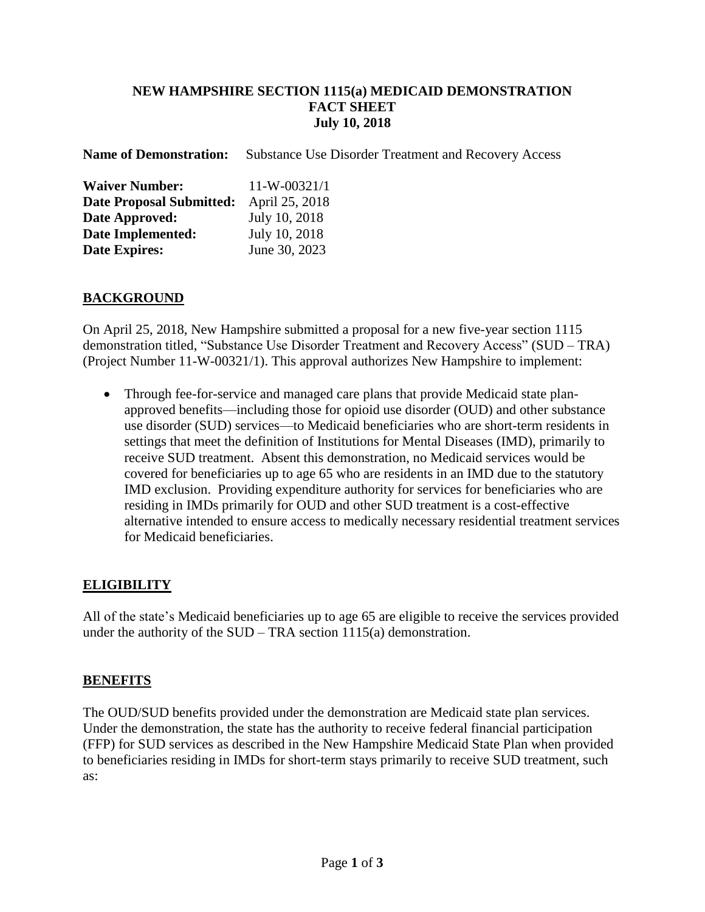## **NEW HAMPSHIRE SECTION 1115(a) MEDICAID DEMONSTRATION FACT SHEET July 10, 2018**

**Name of Demonstration:** Substance Use Disorder Treatment and Recovery Access

| <b>Waiver Number:</b>           | 11-W-00321/1   |
|---------------------------------|----------------|
| <b>Date Proposal Submitted:</b> | April 25, 2018 |
| Date Approved:                  | July 10, 2018  |
| Date Implemented:               | July 10, 2018  |
| <b>Date Expires:</b>            | June 30, 2023  |

## **BACKGROUND**

On April 25, 2018, New Hampshire submitted a proposal for a new five-year section 1115 demonstration titled, "Substance Use Disorder Treatment and Recovery Access" (SUD – TRA) (Project Number 11-W-00321/1). This approval authorizes New Hampshire to implement:

• Through fee-for-service and managed care plans that provide Medicaid state planapproved benefits—including those for opioid use disorder (OUD) and other substance use disorder (SUD) services—to Medicaid beneficiaries who are short-term residents in settings that meet the definition of Institutions for Mental Diseases (IMD), primarily to receive SUD treatment. Absent this demonstration, no Medicaid services would be covered for beneficiaries up to age 65 who are residents in an IMD due to the statutory IMD exclusion. Providing expenditure authority for services for beneficiaries who are residing in IMDs primarily for OUD and other SUD treatment is a cost-effective alternative intended to ensure access to medically necessary residential treatment services for Medicaid beneficiaries.

## **ELIGIBILITY**

All of the state's Medicaid beneficiaries up to age 65 are eligible to receive the services provided under the authority of the SUD – TRA section 1115(a) demonstration.

## **BENEFITS**

The OUD/SUD benefits provided under the demonstration are Medicaid state plan services. Under the demonstration, the state has the authority to receive federal financial participation (FFP) for SUD services as described in the New Hampshire Medicaid State Plan when provided to beneficiaries residing in IMDs for short-term stays primarily to receive SUD treatment, such as: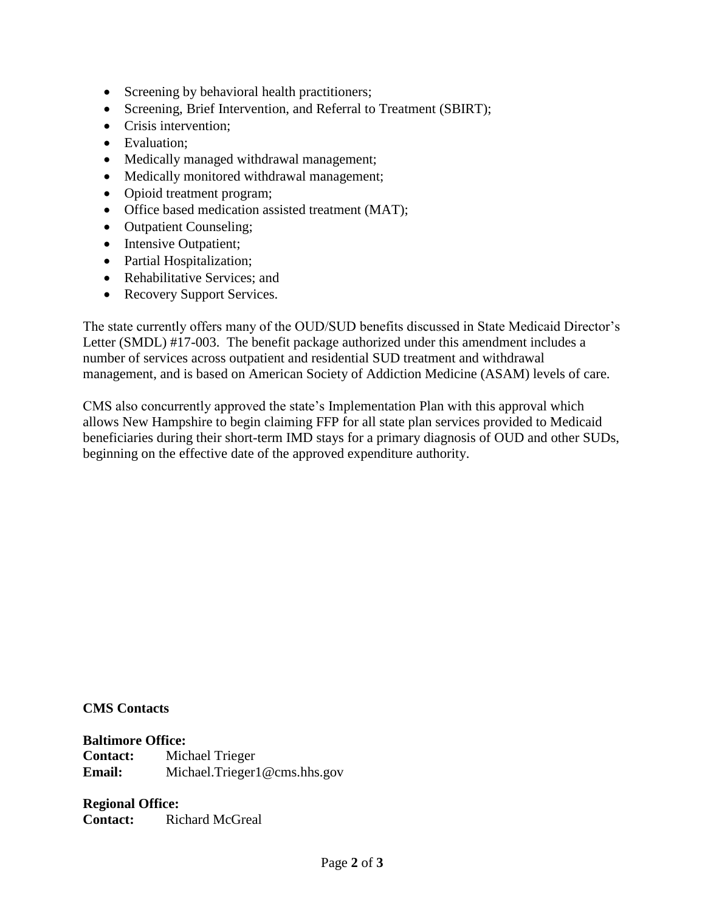- Screening by behavioral health practitioners;
- Screening, Brief Intervention, and Referral to Treatment (SBIRT);
- Crisis intervention;
- Evaluation:
- Medically managed withdrawal management;
- Medically monitored withdrawal management;
- Opioid treatment program;
- Office based medication assisted treatment (MAT);
- Outpatient Counseling;
- Intensive Outpatient;
- Partial Hospitalization;
- Rehabilitative Services; and
- Recovery Support Services.

The state currently offers many of the OUD/SUD benefits discussed in State Medicaid Director's Letter (SMDL) #17-003. The benefit package authorized under this amendment includes a number of services across outpatient and residential SUD treatment and withdrawal management, and is based on American Society of Addiction Medicine (ASAM) levels of care.

CMS also concurrently approved the state's Implementation Plan with this approval which allows New Hampshire to begin claiming FFP for all state plan services provided to Medicaid beneficiaries during their short-term IMD stays for a primary diagnosis of OUD and other SUDs, beginning on the effective date of the approved expenditure authority.

**CMS Contacts**

**Baltimore Office: Contact:** Michael Trieger **Email:** Michael.Trieger1@cms.hhs.gov

**Regional Office: Contact:** Richard McGreal